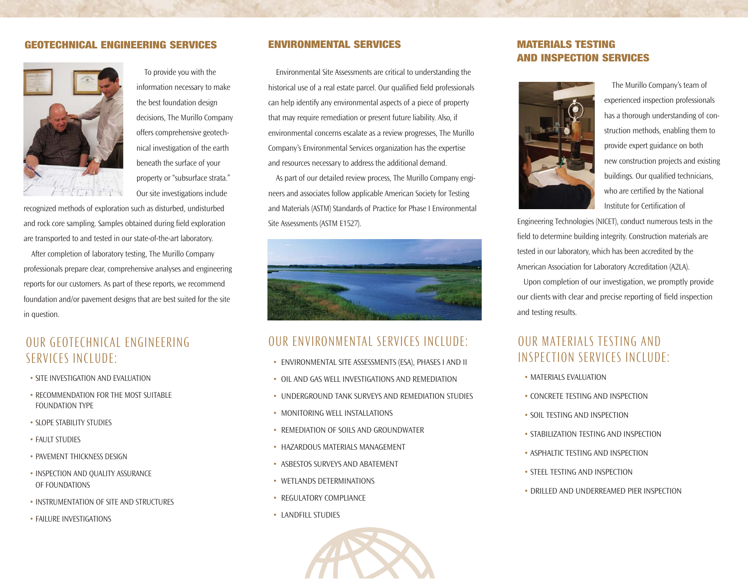#### **GEOTECHNICAL ENGINEERING SERVICES ENVIRONMENTAL SERVICES**



To provide you with the information necessary to make the best foundation design decisions, The Murillo Company offers comprehensive geotechnical investigation of the earth beneath the surface of your property or "subsurface strata." Our site investigations include

recognized methods of exploration such as disturbed, undisturbed and rock core sampling. Samples obtained during field exploration are transported to and tested in our state-of-the-art laboratory.

After completion of laboratory testing, The Murillo Company professionals prepare clear, comprehensive analyses and engineering reports for our customers. As part of these reports, we recommend foundation and/or pavement designs that are best suited for the site in question.

## OUR GEOTECHNICAL ENGINEERING SERVICES INCLUDE:

- SITE INVESTIGATION AND EVALUATION
- RECOMMENDATION FOR THE MOST SUITABLE FOUNDATION TYPE
- SLOPE STABILITY STUDIES
- FAULT STUDIES
- PAVEMENT THICKNESS DESIGN
- INSPECTION AND QUALITY ASSURANCE OF FOUNDATIONS
- INSTRUMENTATION OF SITE AND STRUCTURES
- FAILURE INVESTIGATIONS

Environmental Site Assessments are critical to understanding the historical use of a real estate parcel. Our qualified field professionals can help identify any environmental aspects of a piece of property that may require remediation or present future liability. Also, if environmental concerns escalate as a review progresses, The Murillo Company's Environmental Services organization has the expertise and resources necessary to address the additional demand.

As part of our detailed review process, The Murillo Company engineers and associates follow applicable American Society for Testing and Materials (ASTM) Standards of Practice for Phase I Environmental Site Assessments (ASTM E1527).



## OUR ENVIRONMENTAL SERVICES INCLUDE:

- ENVIRONMENTAL SITE ASSESSMENTS (ESA), PHASES I AND II
- OIL AND GAS WELL INVESTIGATIONS AND REMEDIATION
- UNDERGROUND TANK SURVEYS AND REMEDIATION STUDIES
- MONITORING WELL INSTALLATIONS
- REMEDIATION OF SOILS AND GROUNDWATER
- HAZARDOUS MATERIALS MANAGEMENT
- ASBESTOS SURVEYS AND ABATEMENT
- WETLANDS DETERMINATIONS
- REGULATORY COMPLIANCE
- LANDFILL STUDIES



### **MATERIALS TESTING AND INSPECTION SERVICES**



The Murillo Company's team of experienced inspection professionals has a thorough understanding of construction methods, enabling them to provide expert guidance on both new construction projects and existing buildings. Our qualified technicians, who are certified by the National Institute for Certification of

Engineering Technologies (NICET), conduct numerous tests in the field to determine building integrity. Construction materials are tested in our laboratory, which has been accredited by the American Association for Laboratory Accreditation (A2LA).

Upon completion of our investigation, we promptly provide our clients with clear and precise reporting of field inspection and testing results.

# OUR MATERIALS TESTING AND INSPECTION SERVICES INCLUDE:

- MATERIALS EVALUATION
- CONCRETE TESTING AND INSPECTION
- SOIL TESTING AND INSPECTION
- STABILIZATION TESTING AND INSPECTION
- ASPHALTIC TESTING AND INSPECTION
- STEEL TESTING AND INSPECTION
- DRILLED AND UNDERREAMED PIER INSPECTION